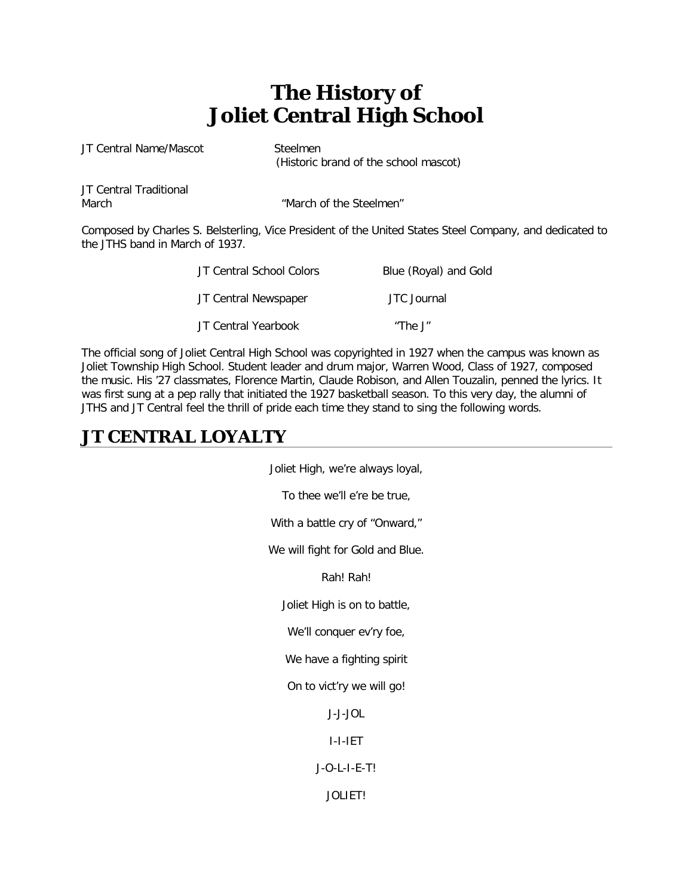# **The History of Joliet Central High School**

JT Central Name/Mascot Steelmen

(Historic brand of the school mascot)

JT Central Traditional

March  $\blacksquare$  March of the Steelmen"

Composed by Charles S. Belsterling, Vice President of the United States Steel Company, and dedicated to the JTHS band in March of 1937.

| JT Central School Colors | Blue (Royal) and Gold |  |
|--------------------------|-----------------------|--|
| JT Central Newspaper     | JTC Journal           |  |
| JT Central Yearbook      | "The J"               |  |

The official song of Joliet Central High School was copyrighted in 1927 when the campus was known as Joliet Township High School. Student leader and drum major, Warren Wood, Class of 1927, composed the music. His '27 classmates, Florence Martin, Claude Robison, and Allen Touzalin, penned the lyrics. It was first sung at a pep rally that initiated the 1927 basketball season. To this very day, the alumni of JTHS and JT Central feel the thrill of pride each time they stand to sing the following words.

# **JT CENTRAL LOYALTY**

Joliet High, we're always loyal,

To thee we'll e're be true,

With a battle cry of "Onward,"

We will fight for Gold and Blue.

Rah! Rah!

Joliet High is on to battle,

We'll conquer ev'ry foe,

We have a fighting spirit

On to vict'ry we will go!

J-J-JOL

I-I-IET

J-O-L-I-E-T!

JOLIET!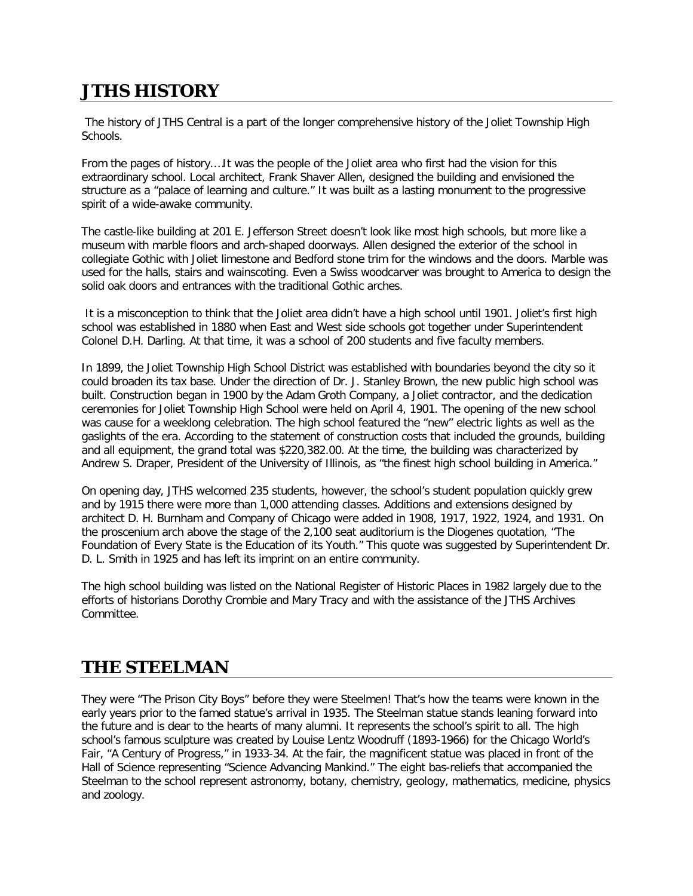# **JTHS HISTORY**

The history of JTHS Central is a part of the longer comprehensive history of the Joliet Township High Schools.

From the pages of history.…It was the people of the Joliet area who first had the vision for this extraordinary school. Local architect, Frank Shaver Allen, designed the building and envisioned the structure as a "palace of learning and culture." It was built as a lasting monument to the progressive spirit of a wide-awake community.

The castle-like building at 201 E. Jefferson Street doesn't look like most high schools, but more like a museum with marble floors and arch-shaped doorways. Allen designed the exterior of the school in collegiate Gothic with Joliet limestone and Bedford stone trim for the windows and the doors. Marble was used for the halls, stairs and wainscoting. Even a Swiss woodcarver was brought to America to design the solid oak doors and entrances with the traditional Gothic arches.

It is a misconception to think that the Joliet area didn't have a high school until 1901. Joliet's first high school was established in 1880 when East and West side schools got together under Superintendent Colonel D.H. Darling. At that time, it was a school of 200 students and five faculty members.

In 1899, the Joliet Township High School District was established with boundaries beyond the city so it could broaden its tax base. Under the direction of Dr. J. Stanley Brown, the new public high school was built. Construction began in 1900 by the Adam Groth Company, a Joliet contractor, and the dedication ceremonies for Joliet Township High School were held on April 4, 1901. The opening of the new school was cause for a weeklong celebration. The high school featured the "new" electric lights as well as the gaslights of the era. According to the statement of construction costs that included the grounds, building and all equipment, the grand total was \$220,382.00. At the time, the building was characterized by Andrew S. Draper, President of the University of Illinois, as "the finest high school building in America."

On opening day, JTHS welcomed 235 students, however, the school's student population quickly grew and by 1915 there were more than 1,000 attending classes. Additions and extensions designed by architect D. H. Burnham and Company of Chicago were added in 1908, 1917, 1922, 1924, and 1931. On the proscenium arch above the stage of the 2,100 seat auditorium is the Diogenes quotation, "The Foundation of Every State is the Education of its Youth." This quote was suggested by Superintendent Dr. D. L. Smith in 1925 and has left its imprint on an entire community.

The high school building was listed on the National Register of Historic Places in 1982 largely due to the efforts of historians Dorothy Crombie and Mary Tracy and with the assistance of the JTHS Archives Committee.

# **THE STEELMAN**

They were "The Prison City Boys" before they were Steelmen! That's how the teams were known in the early years prior to the famed statue's arrival in 1935. The Steelman statue stands leaning forward into the future and is dear to the hearts of many alumni. It represents the school's spirit to all. The high school's famous sculpture was created by Louise Lentz Woodruff (1893-1966) for the Chicago World's Fair, "A Century of Progress," in 1933-34. At the fair, the magnificent statue was placed in front of the Hall of Science representing "Science Advancing Mankind." The eight bas-reliefs that accompanied the Steelman to the school represent astronomy, botany, chemistry, geology, mathematics, medicine, physics and zoology.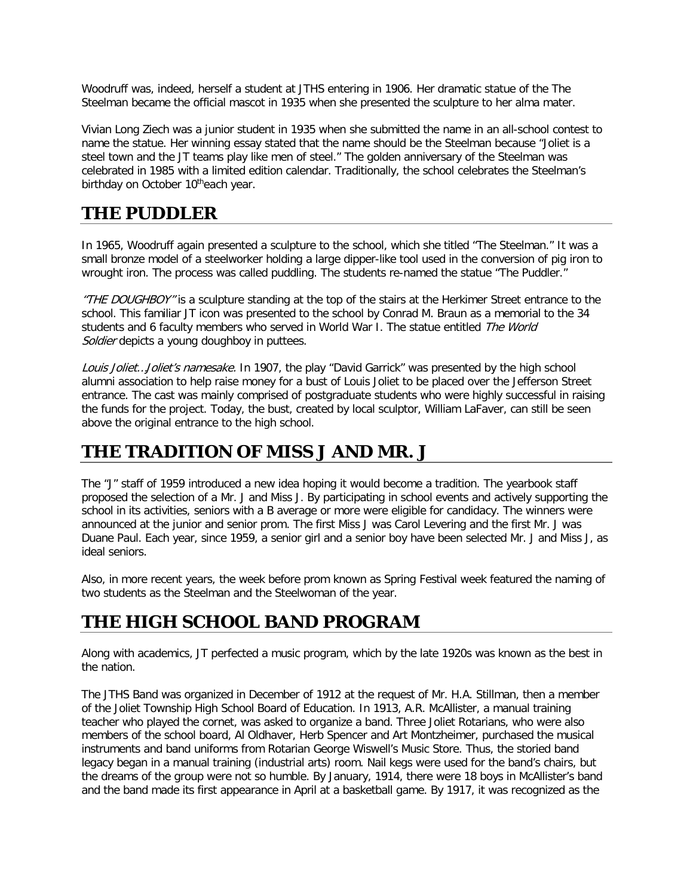Woodruff was, indeed, herself a student at JTHS entering in 1906. Her dramatic statue of the The Steelman became the official mascot in 1935 when she presented the sculpture to her alma mater.

Vivian Long Ziech was a junior student in 1935 when she submitted the name in an all-school contest to name the statue. Her winning essay stated that the name should be the Steelman because "Joliet is a steel town and the JT teams play like men of steel." The golden anniversary of the Steelman was celebrated in 1985 with a limited edition calendar. Traditionally, the school celebrates the Steelman's birthday on October 10theach year.

#### **THE PUDDLER**

In 1965, Woodruff again presented a sculpture to the school, which she titled "The Steelman." It was a small bronze model of a steelworker holding a large dipper-like tool used in the conversion of pig iron to wrought iron. The process was called puddling. The students re-named the statue "The Puddler."

"THE DOUGHBOY" is a sculpture standing at the top of the stairs at the Herkimer Street entrance to the school. This familiar JT icon was presented to the school by Conrad M. Braun as a memorial to the 34 students and 6 faculty members who served in World War I. The statue entitled The World Soldier depicts a young doughboy in puttees.

Louis Joliet... Joliet's namesake. In 1907, the play "David Garrick" was presented by the high school alumni association to help raise money for a bust of Louis Joliet to be placed over the Jefferson Street entrance. The cast was mainly comprised of postgraduate students who were highly successful in raising the funds for the project. Today, the bust, created by local sculptor, William LaFaver, can still be seen above the original entrance to the high school.

### **THE TRADITION OF MISS J AND MR. J**

The "J" staff of 1959 introduced a new idea hoping it would become a tradition. The yearbook staff proposed the selection of a Mr. J and Miss J. By participating in school events and actively supporting the school in its activities, seniors with a B average or more were eligible for candidacy. The winners were announced at the junior and senior prom. The first Miss J was Carol Levering and the first Mr. J was Duane Paul. Each year, since 1959, a senior girl and a senior boy have been selected Mr. J and Miss J, as ideal seniors.

Also, in more recent years, the week before prom known as Spring Festival week featured the naming of two students as the Steelman and the Steelwoman of the year.

#### **THE HIGH SCHOOL BAND PROGRAM**

Along with academics, JT perfected a music program, which by the late 1920s was known as the best in the nation.

The JTHS Band was organized in December of 1912 at the request of Mr. H.A. Stillman, then a member of the Joliet Township High School Board of Education. In 1913, A.R. McAllister, a manual training teacher who played the cornet, was asked to organize a band. Three Joliet Rotarians, who were also members of the school board, Al Oldhaver, Herb Spencer and Art Montzheimer, purchased the musical instruments and band uniforms from Rotarian George Wiswell's Music Store. Thus, the storied band legacy began in a manual training (industrial arts) room. Nail kegs were used for the band's chairs, but the dreams of the group were not so humble. By January, 1914, there were 18 boys in McAllister's band and the band made its first appearance in April at a basketball game. By 1917, it was recognized as the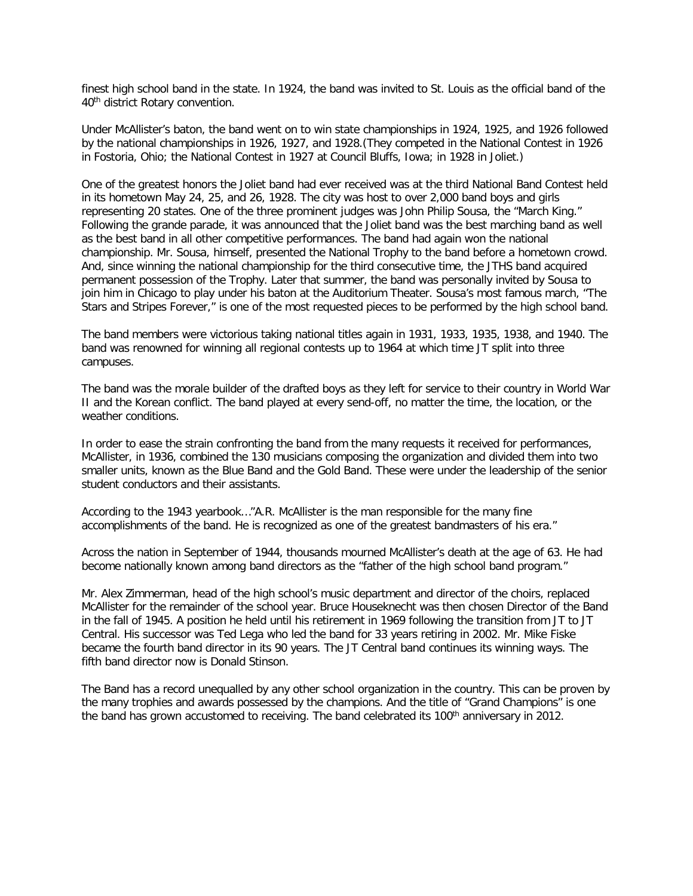finest high school band in the state. In 1924, the band was invited to St. Louis as the official band of the 40th district Rotary convention.

Under McAllister's baton, the band went on to win state championships in 1924, 1925, and 1926 followed by the national championships in 1926, 1927, and 1928.(They competed in the National Contest in 1926 in Fostoria, Ohio; the National Contest in 1927 at Council Bluffs, Iowa; in 1928 in Joliet.)

One of the greatest honors the Joliet band had ever received was at the third National Band Contest held in its hometown May 24, 25, and 26, 1928. The city was host to over 2,000 band boys and girls representing 20 states. One of the three prominent judges was John Philip Sousa, the "March King." Following the grande parade, it was announced that the Joliet band was the best marching band as well as the best band in all other competitive performances. The band had again won the national championship. Mr. Sousa, himself, presented the National Trophy to the band before a hometown crowd. And, since winning the national championship for the third consecutive time, the JTHS band acquired permanent possession of the Trophy. Later that summer, the band was personally invited by Sousa to join him in Chicago to play under his baton at the Auditorium Theater. Sousa's most famous march, "The Stars and Stripes Forever," is one of the most requested pieces to be performed by the high school band.

The band members were victorious taking national titles again in 1931, 1933, 1935, 1938, and 1940. The band was renowned for winning all regional contests up to 1964 at which time JT split into three campuses.

The band was the morale builder of the drafted boys as they left for service to their country in World War II and the Korean conflict. The band played at every send-off, no matter the time, the location, or the weather conditions.

In order to ease the strain confronting the band from the many requests it received for performances, McAllister, in 1936, combined the 130 musicians composing the organization and divided them into two smaller units, known as the Blue Band and the Gold Band. These were under the leadership of the senior student conductors and their assistants.

According to the 1943 yearbook…"A.R. McAllister is the man responsible for the many fine accomplishments of the band. He is recognized as one of the greatest bandmasters of his era."

Across the nation in September of 1944, thousands mourned McAllister's death at the age of 63. He had become nationally known among band directors as the "father of the high school band program."

Mr. Alex Zimmerman, head of the high school's music department and director of the choirs, replaced McAllister for the remainder of the school year. Bruce Houseknecht was then chosen Director of the Band in the fall of 1945. A position he held until his retirement in 1969 following the transition from JT to JT Central. His successor was Ted Lega who led the band for 33 years retiring in 2002. Mr. Mike Fiske became the fourth band director in its 90 years. The JT Central band continues its winning ways. The fifth band director now is Donald Stinson.

The Band has a record unequalled by any other school organization in the country. This can be proven by the many trophies and awards possessed by the champions. And the title of "Grand Champions" is one the band has grown accustomed to receiving. The band celebrated its 100<sup>th</sup> anniversary in 2012.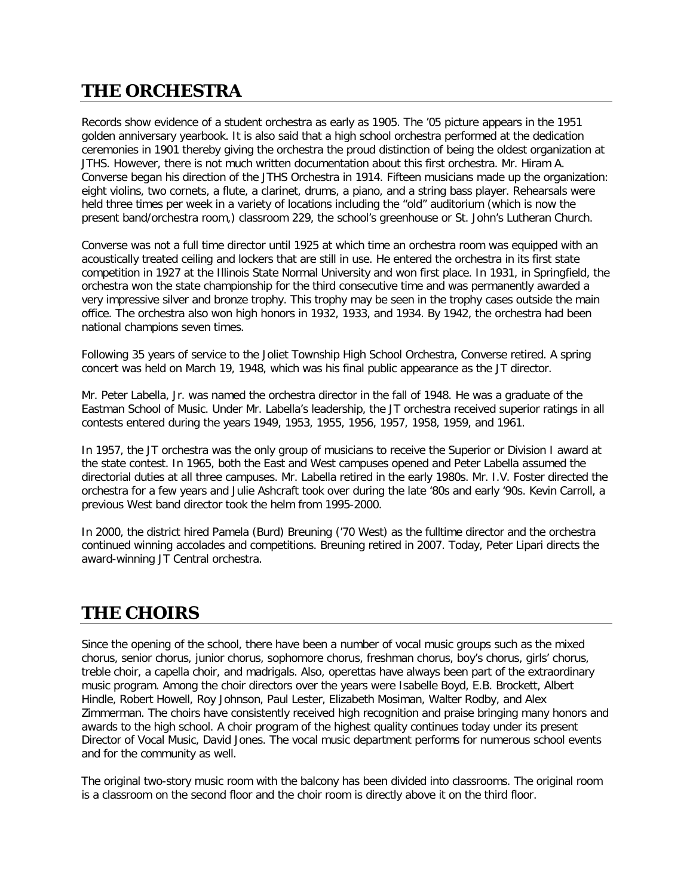# **THE ORCHESTRA**

Records show evidence of a student orchestra as early as 1905. The '05 picture appears in the 1951 golden anniversary yearbook. It is also said that a high school orchestra performed at the dedication ceremonies in 1901 thereby giving the orchestra the proud distinction of being the oldest organization at JTHS. However, there is not much written documentation about this first orchestra. Mr. Hiram A. Converse began his direction of the JTHS Orchestra in 1914. Fifteen musicians made up the organization: eight violins, two cornets, a flute, a clarinet, drums, a piano, and a string bass player. Rehearsals were held three times per week in a variety of locations including the "old" auditorium (which is now the present band/orchestra room,) classroom 229, the school's greenhouse or St. John's Lutheran Church.

Converse was not a full time director until 1925 at which time an orchestra room was equipped with an acoustically treated ceiling and lockers that are still in use. He entered the orchestra in its first state competition in 1927 at the Illinois State Normal University and won first place. In 1931, in Springfield, the orchestra won the state championship for the third consecutive time and was permanently awarded a very impressive silver and bronze trophy. This trophy may be seen in the trophy cases outside the main office. The orchestra also won high honors in 1932, 1933, and 1934. By 1942, the orchestra had been national champions seven times.

Following 35 years of service to the Joliet Township High School Orchestra, Converse retired. A spring concert was held on March 19, 1948, which was his final public appearance as the JT director.

Mr. Peter Labella, Jr. was named the orchestra director in the fall of 1948. He was a graduate of the Eastman School of Music. Under Mr. Labella's leadership, the JT orchestra received superior ratings in all contests entered during the years 1949, 1953, 1955, 1956, 1957, 1958, 1959, and 1961.

In 1957, the JT orchestra was the only group of musicians to receive the Superior or Division I award at the state contest. In 1965, both the East and West campuses opened and Peter Labella assumed the directorial duties at all three campuses. Mr. Labella retired in the early 1980s. Mr. I.V. Foster directed the orchestra for a few years and Julie Ashcraft took over during the late '80s and early '90s. Kevin Carroll, a previous West band director took the helm from 1995-2000.

In 2000, the district hired Pamela (Burd) Breuning ('70 West) as the fulltime director and the orchestra continued winning accolades and competitions. Breuning retired in 2007. Today, Peter Lipari directs the award-winning JT Central orchestra.

### **THE CHOIRS**

Since the opening of the school, there have been a number of vocal music groups such as the mixed chorus, senior chorus, junior chorus, sophomore chorus, freshman chorus, boy's chorus, girls' chorus, treble choir, a capella choir, and madrigals. Also, operettas have always been part of the extraordinary music program. Among the choir directors over the years were Isabelle Boyd, E.B. Brockett, Albert Hindle, Robert Howell, Roy Johnson, Paul Lester, Elizabeth Mosiman, Walter Rodby, and Alex Zimmerman. The choirs have consistently received high recognition and praise bringing many honors and awards to the high school. A choir program of the highest quality continues today under its present Director of Vocal Music, David Jones. The vocal music department performs for numerous school events and for the community as well.

The original two-story music room with the balcony has been divided into classrooms. The original room is a classroom on the second floor and the choir room is directly above it on the third floor.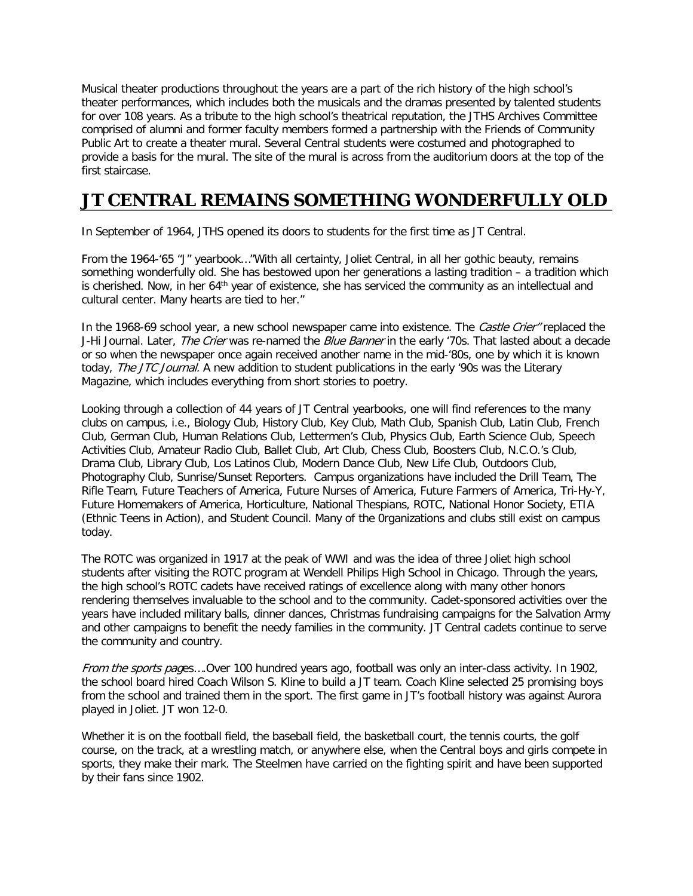Musical theater productions throughout the years are a part of the rich history of the high school's theater performances, which includes both the musicals and the dramas presented by talented students for over 108 years. As a tribute to the high school's theatrical reputation, the JTHS Archives Committee comprised of alumni and former faculty members formed a partnership with the Friends of Community Public Art to create a theater mural. Several Central students were costumed and photographed to provide a basis for the mural. The site of the mural is across from the auditorium doors at the top of the first staircase.

# **JT CENTRAL REMAINS SOMETHING WONDERFULLY OLD**

In September of 1964, JTHS opened its doors to students for the first time as JT Central.

From the 1964-'65 "J" yearbook…"With all certainty, Joliet Central, in all her gothic beauty, remains something wonderfully old. She has bestowed upon her generations a lasting tradition – a tradition which is cherished. Now, in her 64<sup>th</sup> year of existence, she has serviced the community as an intellectual and cultural center. Many hearts are tied to her."

In the 1968-69 school year, a new school newspaper came into existence. The Castle Crier" replaced the J-Hi Journal. Later, The Crier was re-named the Blue Banner in the early '70s. That lasted about a decade or so when the newspaper once again received another name in the mid-'80s, one by which it is known today, The JTC Journal. A new addition to student publications in the early '90s was the Literary Magazine, which includes everything from short stories to poetry.

Looking through a collection of 44 years of JT Central yearbooks, one will find references to the many clubs on campus, i.e., Biology Club, History Club, Key Club, Math Club, Spanish Club, Latin Club, French Club, German Club, Human Relations Club, Lettermen's Club, Physics Club, Earth Science Club, Speech Activities Club, Amateur Radio Club, Ballet Club, Art Club, Chess Club, Boosters Club, N.C.O.'s Club, Drama Club, Library Club, Los Latinos Club, Modern Dance Club, New Life Club, Outdoors Club, Photography Club, Sunrise/Sunset Reporters. Campus organizations have included the Drill Team, The Rifle Team, Future Teachers of America, Future Nurses of America, Future Farmers of America, Tri-Hy-Y, Future Homemakers of America, Horticulture, National Thespians, ROTC, National Honor Society, ETIA (Ethnic Teens in Action), and Student Council. Many of the 0rganizations and clubs still exist on campus today.

The ROTC was organized in 1917 at the peak of WWI and was the idea of three Joliet high school students after visiting the ROTC program at Wendell Philips High School in Chicago. Through the years, the high school's ROTC cadets have received ratings of excellence along with many other honors rendering themselves invaluable to the school and to the community. Cadet-sponsored activities over the years have included military balls, dinner dances, Christmas fundraising campaigns for the Salvation Army and other campaigns to benefit the needy families in the community. JT Central cadets continue to serve the community and country.

From the sports pages….Over 100 hundred years ago, football was only an inter-class activity. In 1902, the school board hired Coach Wilson S. Kline to build a JT team. Coach Kline selected 25 promising boys from the school and trained them in the sport. The first game in JT's football history was against Aurora played in Joliet. JT won 12-0.

Whether it is on the football field, the baseball field, the basketball court, the tennis courts, the golf course, on the track, at a wrestling match, or anywhere else, when the Central boys and girls compete in sports, they make their mark. The Steelmen have carried on the fighting spirit and have been supported by their fans since 1902.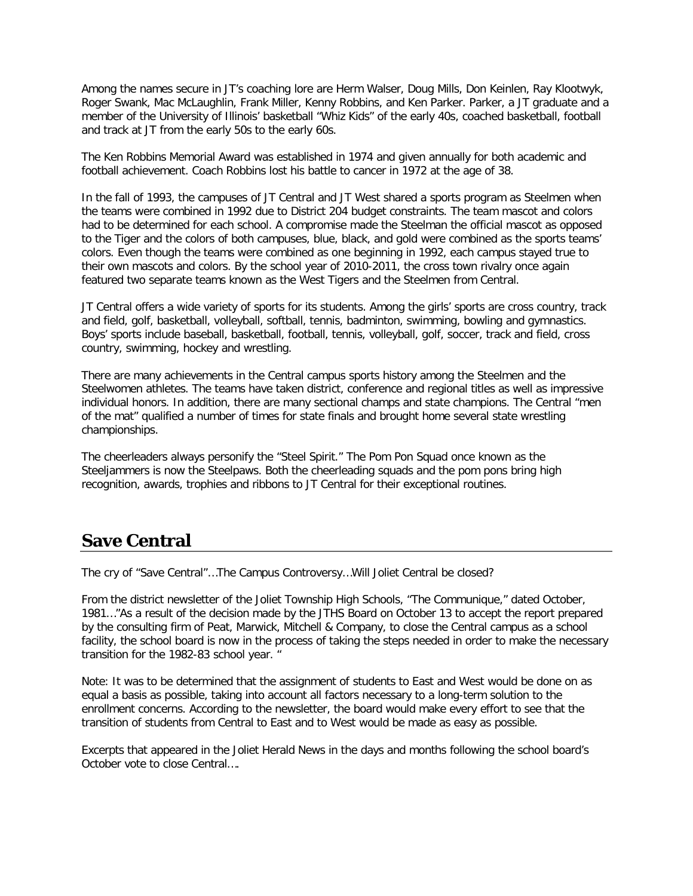Among the names secure in JT's coaching lore are Herm Walser, Doug Mills, Don Keinlen, Ray Klootwyk, Roger Swank, Mac McLaughlin, Frank Miller, Kenny Robbins, and Ken Parker. Parker, a JT graduate and a member of the University of Illinois' basketball "Whiz Kids" of the early 40s, coached basketball, football and track at JT from the early 50s to the early 60s.

The Ken Robbins Memorial Award was established in 1974 and given annually for both academic and football achievement. Coach Robbins lost his battle to cancer in 1972 at the age of 38.

In the fall of 1993, the campuses of JT Central and JT West shared a sports program as Steelmen when the teams were combined in 1992 due to District 204 budget constraints. The team mascot and colors had to be determined for each school. A compromise made the Steelman the official mascot as opposed to the Tiger and the colors of both campuses, blue, black, and gold were combined as the sports teams' colors. Even though the teams were combined as one beginning in 1992, each campus stayed true to their own mascots and colors. By the school year of 2010-2011, the cross town rivalry once again featured two separate teams known as the West Tigers and the Steelmen from Central.

JT Central offers a wide variety of sports for its students. Among the girls' sports are cross country, track and field, golf, basketball, volleyball, softball, tennis, badminton, swimming, bowling and gymnastics. Boys' sports include baseball, basketball, football, tennis, volleyball, golf, soccer, track and field, cross country, swimming, hockey and wrestling.

There are many achievements in the Central campus sports history among the Steelmen and the Steelwomen athletes. The teams have taken district, conference and regional titles as well as impressive individual honors. In addition, there are many sectional champs and state champions. The Central "men of the mat" qualified a number of times for state finals and brought home several state wrestling championships.

The cheerleaders always personify the "Steel Spirit." The Pom Pon Squad once known as the Steeljammers is now the Steelpaws. Both the cheerleading squads and the pom pons bring high recognition, awards, trophies and ribbons to JT Central for their exceptional routines.

#### **Save Central**

The cry of "Save Central"…The Campus Controversy…Will Joliet Central be closed?

From the district newsletter of the Joliet Township High Schools, "The Communique," dated October, 1981…"As a result of the decision made by the JTHS Board on October 13 to accept the report prepared by the consulting firm of Peat, Marwick, Mitchell & Company, to close the Central campus as a school facility, the school board is now in the process of taking the steps needed in order to make the necessary transition for the 1982-83 school year. "

Note: It was to be determined that the assignment of students to East and West would be done on as equal a basis as possible, taking into account all factors necessary to a long-term solution to the enrollment concerns. According to the newsletter, the board would make every effort to see that the transition of students from Central to East and to West would be made as easy as possible.

Excerpts that appeared in the Joliet Herald News in the days and months following the school board's October vote to close Central….